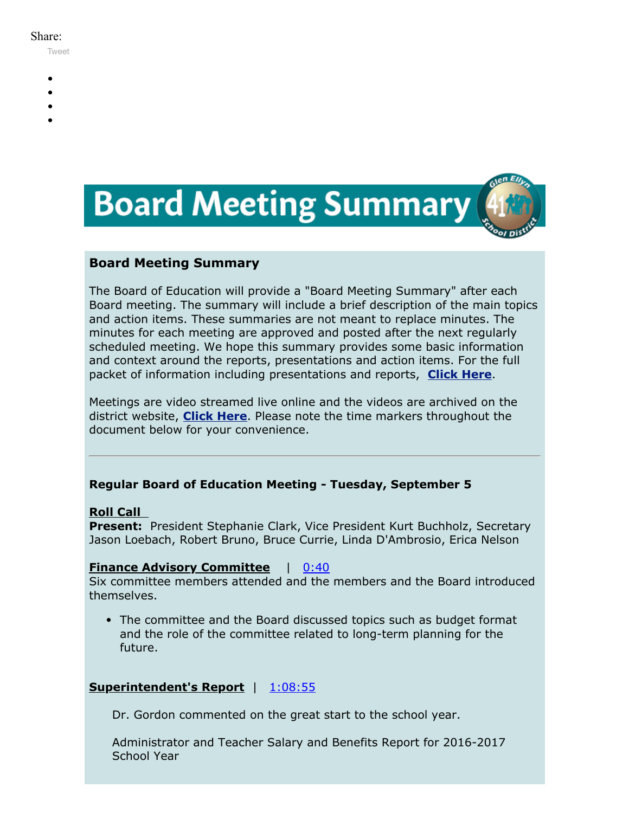#### Share:

[Tweet](https://twitter.com/intent/tweet?original_referer=https%3A%2F%2Fmyemail.constantcontact.com%2FBoard-Meeting-Summary-for-September-5--2017.html%3Fsoid%3D1102200973173%26aid%3D_073LgeHuPE&ref_src=twsrc%5Etfw&text=Board%20Meeting%20Summary%20for%20September%205%2C%202017&tw_p=tweetbutton&url=https%3A%2F%2Fmyemail.constantcontact.com%2FBoard-Meeting-Summary-for-September-5--2017.html%3Fsoid%3D1102200973173%26aid%3D_073LgeHuPE)

- 
- 
- 
- 
- 



## **Board Meeting Summary**

The Board of Education will provide a "Board Meeting Summary" after each Board meeting. The summary will include a brief description of the main topics and action items. These summaries are not meant to replace minutes. The minutes for each meeting are approved and posted after the next regularly scheduled meeting. We hope this summary provides some basic information and context around the reports, presentations and action items. For the full packet of information including presentations and reports, **[Click Here](http://www.d41.org/domain/36)**.

Meetings are video streamed live online and the videos are archived on the district website, **[Click Here](http://www.d41.org/domain/463)**. Please note the time markers throughout the document below for your convenience.

## **Regular Board of Education Meeting - Tuesday, September 5**

#### **Roll Call**

**Present:** President Stephanie Clark, Vice President Kurt Buchholz, Secretary Jason Loebach, Robert Bruno, Bruce Currie, Linda D'Ambrosio, Erica Nelson

### **Finance Advisory Committee** | [0:40](https://www.youtube.com/watch?v=GtUR8QYtxfo&t=0m40s)

Six committee members attended and the members and the Board introduced themselves.

• The committee and the Board discussed topics such as budget format and the role of the committee related to long-term planning for the future.

### **Superintendent's Report** | [1:08:55](https://www.youtube.com/watch?v=GtUR8QYtxfo&t=1h8m55s)

Dr. Gordon commented on the great start to the school year.

Administrator and Teacher Salary and Benefits Report for 2016-2017 School Year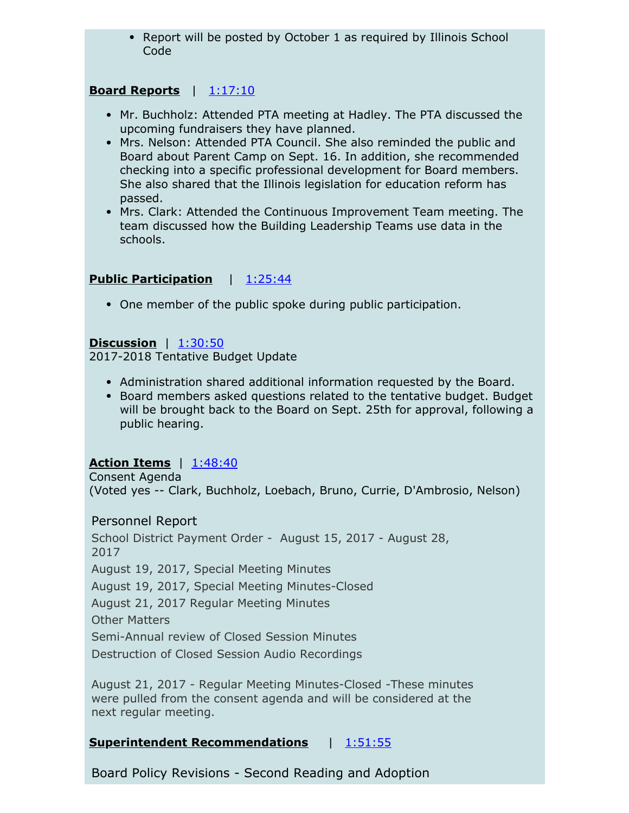• Report will be posted by October 1 as required by Illinois School Code

## **Board Reports** | [1:17:10](https://www.youtube.com/watch?v=GtUR8QYtxfo&t=1h17m10s)

- Mr. Buchholz: Attended PTA meeting at Hadley. The PTA discussed the upcoming fundraisers they have planned.
- Mrs. Nelson: Attended PTA Council. She also reminded the public and Board about Parent Camp on Sept. 16. In addition, she recommended checking into a specific professional development for Board members. She also shared that the Illinois legislation for education reform has passed.
- Mrs. Clark: Attended the Continuous Improvement Team meeting. The team discussed how the Building Leadership Teams use data in the schools.

## **Public Participation** | [1:25:44](https://www.youtube.com/watch?v=GtUR8QYtxfo&t=1h25m44s)

One member of the public spoke during public participation.

### **Discussion** | [1:30:50](https://www.youtube.com/watch?v=GtUR8QYtxfo&t=1h30m50s)

2017-2018 Tentative Budget Update

- Administration shared additional information requested by the Board.
- Board members asked questions related to the tentative budget. Budget will be brought back to the Board on Sept. 25th for approval, following a public hearing.

## **Action Items** | [1:48:40](https://www.youtube.com/watch?v=GtUR8QYtxfo&t=1h48m40s)

Consent Agenda (Voted yes -- Clark, Buchholz, Loebach, Bruno, Currie, D'Ambrosio, Nelson)

## Personnel Report

School District Payment Order - August 15, 2017 - August 28, 2017 August 19, 2017, Special Meeting Minutes August 19, 2017, Special Meeting Minutes-Closed August 21, 2017 Regular Meeting Minutes Other Matters Semi-Annual review of Closed Session Minutes Destruction of Closed Session Audio Recordings

August 21, 2017 - Regular Meeting Minutes-Closed -These minutes were pulled from the consent agenda and will be considered at the next regular meeting.

## **Superintendent Recommendations** | [1:51:55](https://www.youtube.com/watch?v=GtUR8QYtxfo&t=1h51m55s)

Board Policy Revisions - Second Reading and Adoption